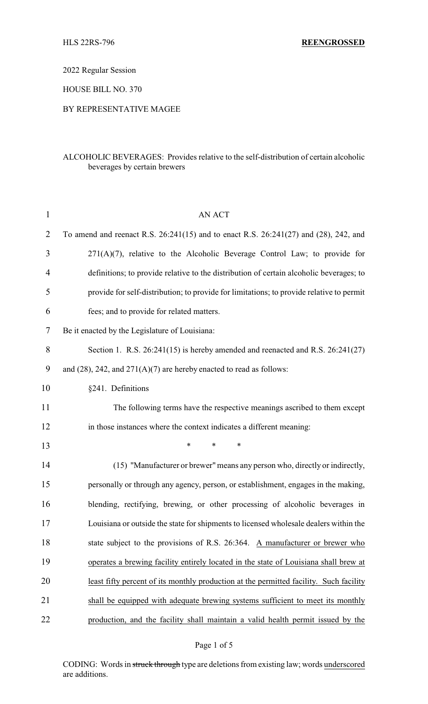2022 Regular Session

HOUSE BILL NO. 370

BY REPRESENTATIVE MAGEE

## ALCOHOLIC BEVERAGES: Provides relative to the self-distribution of certain alcoholic beverages by certain brewers

| $\mathbf{1}$   | <b>AN ACT</b>                                                                            |
|----------------|------------------------------------------------------------------------------------------|
| $\overline{2}$ | To amend and reenact R.S. 26:241(15) and to enact R.S. 26:241(27) and (28), 242, and     |
| 3              | $271(A)(7)$ , relative to the Alcoholic Beverage Control Law; to provide for             |
| $\overline{4}$ | definitions; to provide relative to the distribution of certain alcoholic beverages; to  |
| 5              | provide for self-distribution; to provide for limitations; to provide relative to permit |
| 6              | fees; and to provide for related matters.                                                |
| 7              | Be it enacted by the Legislature of Louisiana:                                           |
| 8              | Section 1. R.S. $26:241(15)$ is hereby amended and reenacted and R.S. $26:241(27)$       |
| 9              | and $(28)$ , 242, and $271(A)(7)$ are hereby enacted to read as follows:                 |
| 10             | §241. Definitions                                                                        |
| 11             | The following terms have the respective meanings ascribed to them except                 |
| 12             | in those instances where the context indicates a different meaning:                      |
| 13             | *<br>*<br>∗                                                                              |
| 14             | (15) "Manufacturer or brewer" means any person who, directly or indirectly,              |
| 15             | personally or through any agency, person, or establishment, engages in the making,       |
| 16             | blending, rectifying, brewing, or other processing of alcoholic beverages in             |
| 17             | Louisiana or outside the state for shipments to licensed wholesale dealers within the    |
| 18             | state subject to the provisions of R.S. 26:364. A manufacturer or brewer who             |
| 19             | operates a brewing facility entirely located in the state of Louisiana shall brew at     |
| 20             | least fifty percent of its monthly production at the permitted facility. Such facility   |
| 21             | shall be equipped with adequate brewing systems sufficient to meet its monthly           |
| 22             | production, and the facility shall maintain a valid health permit issued by the          |

CODING: Words in struck through type are deletions from existing law; words underscored are additions.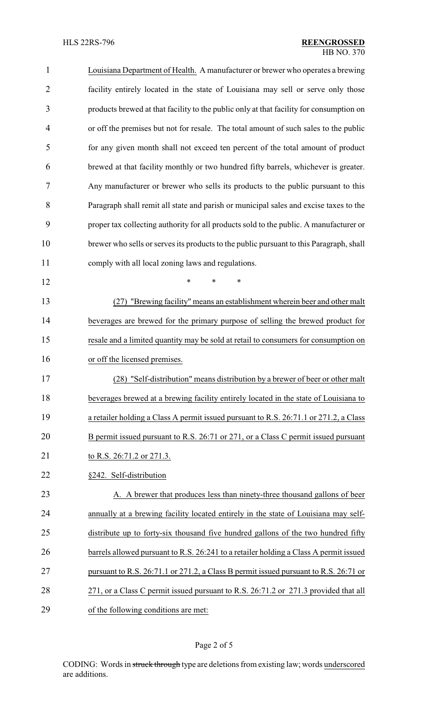| $\mathbf{1}$   | Louisiana Department of Health. A manufacturer or brewer who operates a brewing         |
|----------------|-----------------------------------------------------------------------------------------|
| $\overline{2}$ | facility entirely located in the state of Louisiana may sell or serve only those        |
| 3              | products brewed at that facility to the public only at that facility for consumption on |
| 4              | or off the premises but not for resale. The total amount of such sales to the public    |
| 5              | for any given month shall not exceed ten percent of the total amount of product         |
| 6              | brewed at that facility monthly or two hundred fifty barrels, whichever is greater.     |
| 7              | Any manufacturer or brewer who sells its products to the public pursuant to this        |
| 8              | Paragraph shall remit all state and parish or municipal sales and excise taxes to the   |
| 9              | proper tax collecting authority for all products sold to the public. A manufacturer or  |
| 10             | brewer who sells or serves its products to the public pursuant to this Paragraph, shall |
| 11             | comply with all local zoning laws and regulations.                                      |
| 12             | $\ast$<br>$\ast$<br>$\ast$                                                              |
| 13             | (27) "Brewing facility" means an establishment wherein beer and other malt              |
| 14             | beverages are brewed for the primary purpose of selling the brewed product for          |
| 15             | resale and a limited quantity may be sold at retail to consumers for consumption on     |
| 16             | or off the licensed premises.                                                           |
| 17             | (28) "Self-distribution" means distribution by a brewer of beer or other malt           |
| 18             | beverages brewed at a brewing facility entirely located in the state of Louisiana to    |
| 19             | a retailer holding a Class A permit issued pursuant to R.S. 26:71.1 or 271.2, a Class   |
| 20             | B permit issued pursuant to R.S. 26:71 or 271, or a Class C permit issued pursuant      |
| 21             | to R.S. 26:71.2 or 271.3.                                                               |
| 22             | §242. Self-distribution                                                                 |
| 23             | A. A brewer that produces less than ninety-three thousand gallons of beer               |
| 24             | annually at a brewing facility located entirely in the state of Louisiana may self-     |
| 25             | distribute up to forty-six thousand five hundred gallons of the two hundred fifty       |
| 26             | barrels allowed pursuant to R.S. 26:241 to a retailer holding a Class A permit issued   |
| 27             | pursuant to R.S. 26:71.1 or 271.2, a Class B permit issued pursuant to R.S. 26:71 or    |
| 28             | 271, or a Class C permit issued pursuant to R.S. 26:71.2 or 271.3 provided that all     |
| 29             | of the following conditions are met:                                                    |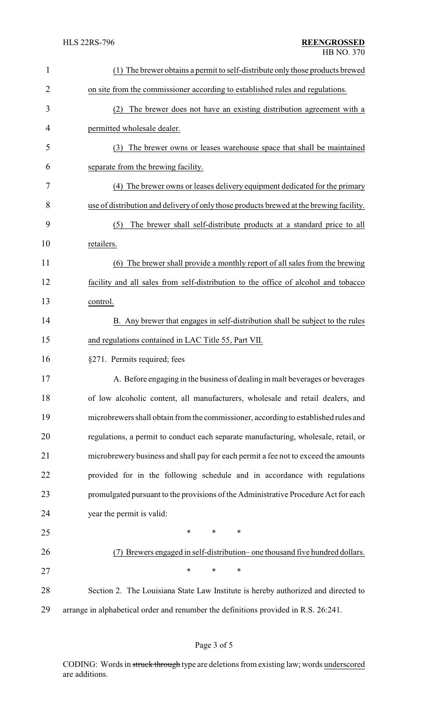| 1              | (1) The brewer obtains a permit to self-distribute only those products brewed           |
|----------------|-----------------------------------------------------------------------------------------|
| $\overline{2}$ | on site from the commissioner according to established rules and regulations.           |
| 3              | The brewer does not have an existing distribution agreement with a<br>(2)               |
| 4              | permitted wholesale dealer.                                                             |
| 5              | The brewer owns or leases warehouse space that shall be maintained<br>(3)               |
| 6              | separate from the brewing facility.                                                     |
| 7              | (4) The brewer owns or leases delivery equipment dedicated for the primary              |
| 8              | use of distribution and delivery of only those products brewed at the brewing facility. |
| 9              | The brewer shall self-distribute products at a standard price to all<br>(5)             |
| 10             | retailers.                                                                              |
| 11             | (6) The brewer shall provide a monthly report of all sales from the brewing             |
| 12             | facility and all sales from self-distribution to the office of alcohol and tobacco      |
| 13             | control.                                                                                |
| 14             | B. Any brewer that engages in self-distribution shall be subject to the rules           |
| 15             | and regulations contained in LAC Title 55, Part VII.                                    |
| 16             | §271. Permits required; fees                                                            |
| 17             | A. Before engaging in the business of dealing in malt beverages or beverages            |
| 18             | of low alcoholic content, all manufacturers, wholesale and retail dealers, and          |
| 19             | microbrewers shall obtain from the commissioner, according to established rules and     |
| 20             | regulations, a permit to conduct each separate manufacturing, wholesale, retail, or     |
| 21             | microbrewery business and shall pay for each permit a fee not to exceed the amounts     |
| 22             | provided for in the following schedule and in accordance with regulations               |
| 23             | promulgated pursuant to the provisions of the Administrative Procedure Act for each     |
| 24             | year the permit is valid:                                                               |
| 25             | $\ast$<br>∗<br>∗                                                                        |
| 26             | (7) Brewers engaged in self-distribution– one thousand five hundred dollars.            |
| 27             | *<br>$\ast$<br>∗                                                                        |
| 28             | Section 2. The Louisiana State Law Institute is hereby authorized and directed to       |
| 29             | arrange in alphabetical order and renumber the definitions provided in R.S. 26:241.     |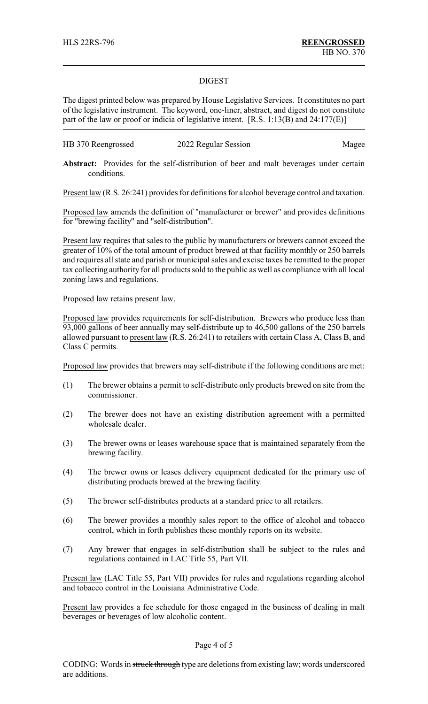## DIGEST

The digest printed below was prepared by House Legislative Services. It constitutes no part of the legislative instrument. The keyword, one-liner, abstract, and digest do not constitute part of the law or proof or indicia of legislative intent. [R.S. 1:13(B) and 24:177(E)]

| HB 370 Reengrossed | 2022 Regular Session | Magee |
|--------------------|----------------------|-------|
|--------------------|----------------------|-------|

Abstract: Provides for the self-distribution of beer and malt beverages under certain conditions.

Present law (R.S. 26:241) provides for definitions for alcohol beverage control and taxation.

Proposed law amends the definition of "manufacturer or brewer" and provides definitions for "brewing facility" and "self-distribution".

Present law requires that sales to the public by manufacturers or brewers cannot exceed the greater of 10% of the total amount of product brewed at that facility monthly or 250 barrels and requires all state and parish or municipal sales and excise taxes be remitted to the proper tax collecting authority for all products sold to the public as well as compliance with all local zoning laws and regulations.

## Proposed law retains present law.

Proposed law provides requirements for self-distribution. Brewers who produce less than 93,000 gallons of beer annually may self-distribute up to 46,500 gallons of the 250 barrels allowed pursuant to present law (R.S. 26:241) to retailers with certain Class A, Class B, and Class C permits.

Proposed law provides that brewers may self-distribute if the following conditions are met:

- (1) The brewer obtains a permit to self-distribute only products brewed on site from the commissioner.
- (2) The brewer does not have an existing distribution agreement with a permitted wholesale dealer.
- (3) The brewer owns or leases warehouse space that is maintained separately from the brewing facility.
- (4) The brewer owns or leases delivery equipment dedicated for the primary use of distributing products brewed at the brewing facility.
- (5) The brewer self-distributes products at a standard price to all retailers.
- (6) The brewer provides a monthly sales report to the office of alcohol and tobacco control, which in forth publishes these monthly reports on its website.
- (7) Any brewer that engages in self-distribution shall be subject to the rules and regulations contained in LAC Title 55, Part VII.

Present law (LAC Title 55, Part VII) provides for rules and regulations regarding alcohol and tobacco control in the Louisiana Administrative Code.

Present law provides a fee schedule for those engaged in the business of dealing in malt beverages or beverages of low alcoholic content.

## Page 4 of 5

CODING: Words in struck through type are deletions from existing law; words underscored are additions.